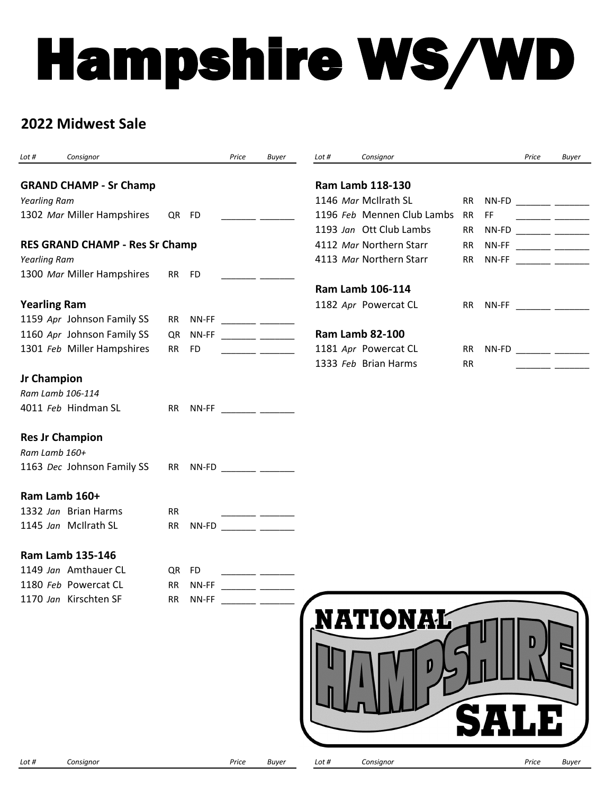## Hampshire WS/WD

## **2022 Midwest Sale**

| Lot #                                 | Consignor                     |           |           | Price | <b>Buyer</b>                                                                                                          | Lot # | Consignor                  |           |       | Price                                                                                                                                                                                                                                                                                                                                                                                                                                                 | <b>Buyer</b> |
|---------------------------------------|-------------------------------|-----------|-----------|-------|-----------------------------------------------------------------------------------------------------------------------|-------|----------------------------|-----------|-------|-------------------------------------------------------------------------------------------------------------------------------------------------------------------------------------------------------------------------------------------------------------------------------------------------------------------------------------------------------------------------------------------------------------------------------------------------------|--------------|
|                                       | <b>GRAND CHAMP - Sr Champ</b> |           |           |       |                                                                                                                       |       | Ram Lamb 118-130           |           |       |                                                                                                                                                                                                                                                                                                                                                                                                                                                       |              |
| <b>Yearling Ram</b>                   |                               |           |           |       |                                                                                                                       |       | 1146 Mar McIlrath SL       | <b>RR</b> |       |                                                                                                                                                                                                                                                                                                                                                                                                                                                       |              |
|                                       | 1302 Mar Miller Hampshires    |           | QR FD     |       |                                                                                                                       |       | 1196 Feb Mennen Club Lambs | <b>RR</b> | FF    |                                                                                                                                                                                                                                                                                                                                                                                                                                                       |              |
|                                       |                               |           |           |       |                                                                                                                       |       | 1193 Jan Ott Club Lambs    | <b>RR</b> | NN-FD |                                                                                                                                                                                                                                                                                                                                                                                                                                                       |              |
| <b>RES GRAND CHAMP - Res Sr Champ</b> |                               |           |           |       |                                                                                                                       |       | 4112 Mar Northern Starr    | <b>RR</b> | NN-FF |                                                                                                                                                                                                                                                                                                                                                                                                                                                       |              |
| <b>Yearling Ram</b>                   |                               |           |           |       |                                                                                                                       |       | 4113 Mar Northern Starr    | <b>RR</b> | NN-FF | $\begin{tabular}{ccccc} \multicolumn{2}{c }{\textbf{1} & \multicolumn{2}{c }{\textbf{2} & \multicolumn{2}{c }{\textbf{3} & \multicolumn{2}{c }{\textbf{4} & \multicolumn{2}{c }{\textbf{5} & \multicolumn{2}{c }{\textbf{6} & \multicolumn{2}{c }{\textbf{6} & \multicolumn{2}{c }{\textbf{6} & \multicolumn{2}{c }{\textbf{6} & \multicolumn{2}{c }{\textbf{6} & \multicolumn{2}{c }{\textbf{6} & \multicolumn{2}{c }{\textbf{6} & \multicolumn{2}{$ |              |
|                                       | 1300 Mar Miller Hampshires    | <b>RR</b> | FD        |       |                                                                                                                       |       |                            |           |       |                                                                                                                                                                                                                                                                                                                                                                                                                                                       |              |
|                                       |                               |           |           |       |                                                                                                                       |       | <b>Ram Lamb 106-114</b>    |           |       |                                                                                                                                                                                                                                                                                                                                                                                                                                                       |              |
| <b>Yearling Ram</b>                   |                               |           |           |       |                                                                                                                       |       | 1182 Apr Powercat CL       | <b>RR</b> |       | NN-FF _________ ________                                                                                                                                                                                                                                                                                                                                                                                                                              |              |
|                                       | 1159 Apr Johnson Family SS    | RR.       | NN-FF     |       |                                                                                                                       |       |                            |           |       |                                                                                                                                                                                                                                                                                                                                                                                                                                                       |              |
|                                       | 1160 Apr Johnson Family SS    | QR        | NN-FF     |       | <u> Alban Alban (Alban Alban Alban Alban Alban Alban Alban Alban Alban Alban Alban Alban Alban Alban Alban Alban </u> |       | <b>Ram Lamb 82-100</b>     |           |       |                                                                                                                                                                                                                                                                                                                                                                                                                                                       |              |
|                                       | 1301 Feb Miller Hampshires    | <b>RR</b> | <b>FD</b> |       | <u> 1999 - Jan Jan Jan</u>                                                                                            |       | 1181 Apr Powercat CL       | <b>RR</b> |       | NN-FD _________ ________                                                                                                                                                                                                                                                                                                                                                                                                                              |              |
|                                       |                               |           |           |       |                                                                                                                       |       | 1333 Feb Brian Harms       | <b>RR</b> |       |                                                                                                                                                                                                                                                                                                                                                                                                                                                       |              |
| <b>Jr Champion</b>                    |                               |           |           |       |                                                                                                                       |       |                            |           |       |                                                                                                                                                                                                                                                                                                                                                                                                                                                       |              |
| Ram Lamb 106-114                      |                               |           |           |       |                                                                                                                       |       |                            |           |       |                                                                                                                                                                                                                                                                                                                                                                                                                                                       |              |
|                                       | 4011 Feb Hindman SL           | RR        |           |       | NN-FF and the state of the state of the state of the state of the state of the state of the state of the state        |       |                            |           |       |                                                                                                                                                                                                                                                                                                                                                                                                                                                       |              |
|                                       | <b>Res Jr Champion</b>        |           |           |       |                                                                                                                       |       |                            |           |       |                                                                                                                                                                                                                                                                                                                                                                                                                                                       |              |
| Ram Lamb 160+                         |                               |           |           |       |                                                                                                                       |       |                            |           |       |                                                                                                                                                                                                                                                                                                                                                                                                                                                       |              |
|                                       | 1163 Dec Johnson Family SS    | RR.       |           |       | NN-FD                                                                                                                 |       |                            |           |       |                                                                                                                                                                                                                                                                                                                                                                                                                                                       |              |
| Ram Lamb 160+                         |                               |           |           |       |                                                                                                                       |       |                            |           |       |                                                                                                                                                                                                                                                                                                                                                                                                                                                       |              |
|                                       | 1332 Jan Brian Harms          | <b>RR</b> |           |       |                                                                                                                       |       |                            |           |       |                                                                                                                                                                                                                                                                                                                                                                                                                                                       |              |
|                                       | 1145 Jan McIlrath SL          | RR        |           |       |                                                                                                                       |       |                            |           |       |                                                                                                                                                                                                                                                                                                                                                                                                                                                       |              |
|                                       | <b>Ram Lamb 135-146</b>       |           |           |       |                                                                                                                       |       |                            |           |       |                                                                                                                                                                                                                                                                                                                                                                                                                                                       |              |
|                                       | 1149 Jan Amthauer CL          | QR        | FD        |       |                                                                                                                       |       |                            |           |       |                                                                                                                                                                                                                                                                                                                                                                                                                                                       |              |
|                                       | 1180 Feb Powercat CL          | <b>RR</b> | NN-FF     |       |                                                                                                                       |       |                            |           |       |                                                                                                                                                                                                                                                                                                                                                                                                                                                       |              |
|                                       | 1170 Jan Kirschten SF         | RR        | NN-FF     |       |                                                                                                                       |       |                            |           |       |                                                                                                                                                                                                                                                                                                                                                                                                                                                       |              |
|                                       |                               |           |           |       |                                                                                                                       |       | NATIONAL<br>IJ             |           |       |                                                                                                                                                                                                                                                                                                                                                                                                                                                       |              |
| Lot #                                 | Consignor                     |           |           | Price | <b>Buyer</b>                                                                                                          | Lot # | Consignor                  |           |       | Price                                                                                                                                                                                                                                                                                                                                                                                                                                                 | <b>Buyer</b> |